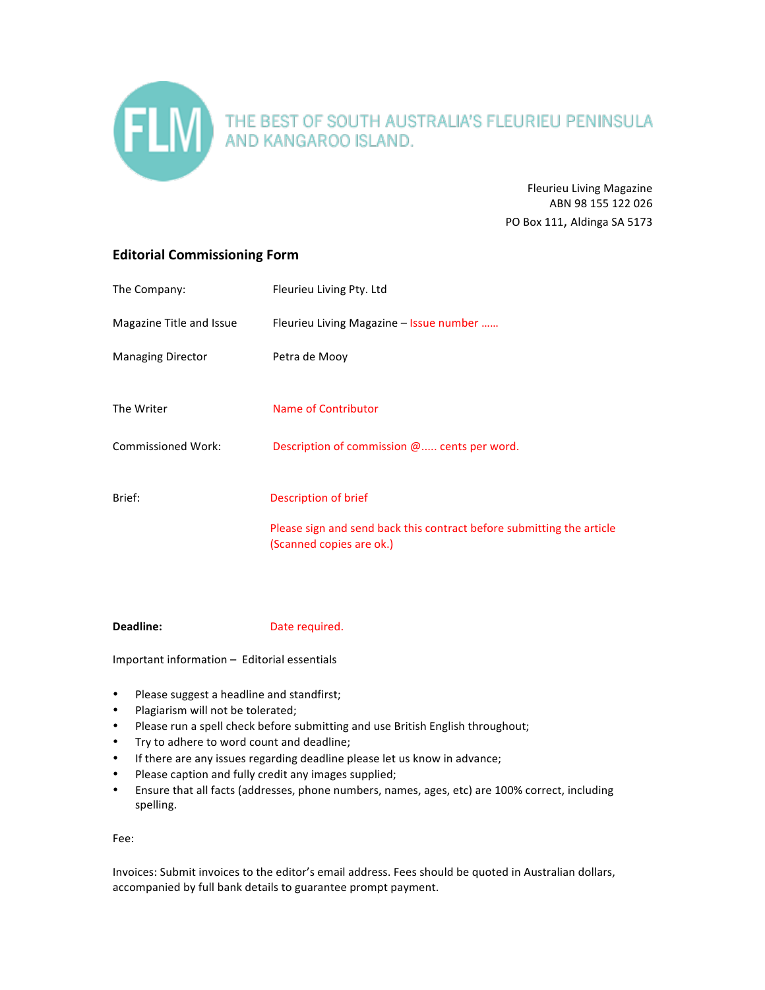

Fleurieu Living Magazine ABN 98 155 122 026 PO Box 111, Aldinga SA 5173

## **Editorial Commissioning Form**

| The Company:              | Fleurieu Living Pty. Ltd                                                                          |
|---------------------------|---------------------------------------------------------------------------------------------------|
| Magazine Title and Issue  | Fleurieu Living Magazine – Issue number                                                           |
| <b>Managing Director</b>  | Petra de Mooy                                                                                     |
| The Writer                | Name of Contributor                                                                               |
| <b>Commissioned Work:</b> | Description of commission $@$ cents per word.                                                     |
| Brief:                    | Description of brief                                                                              |
|                           | Please sign and send back this contract before submitting the article<br>(Scanned copies are ok.) |

**Deadline:** Date required.

 $Important information – Editorial essentials$ 

- Please suggest a headline and standfirst;
- Plagiarism will not be tolerated;
- Please run a spell check before submitting and use British English throughout;
- Try to adhere to word count and deadline;
- If there are any issues regarding deadline please let us know in advance;
- Please caption and fully credit any images supplied;
- Ensure that all facts (addresses, phone numbers, names, ages, etc) are 100% correct, including spelling.

Fee: 

Invoices: Submit invoices to the editor's email address. Fees should be quoted in Australian dollars, accompanied by full bank details to guarantee prompt payment.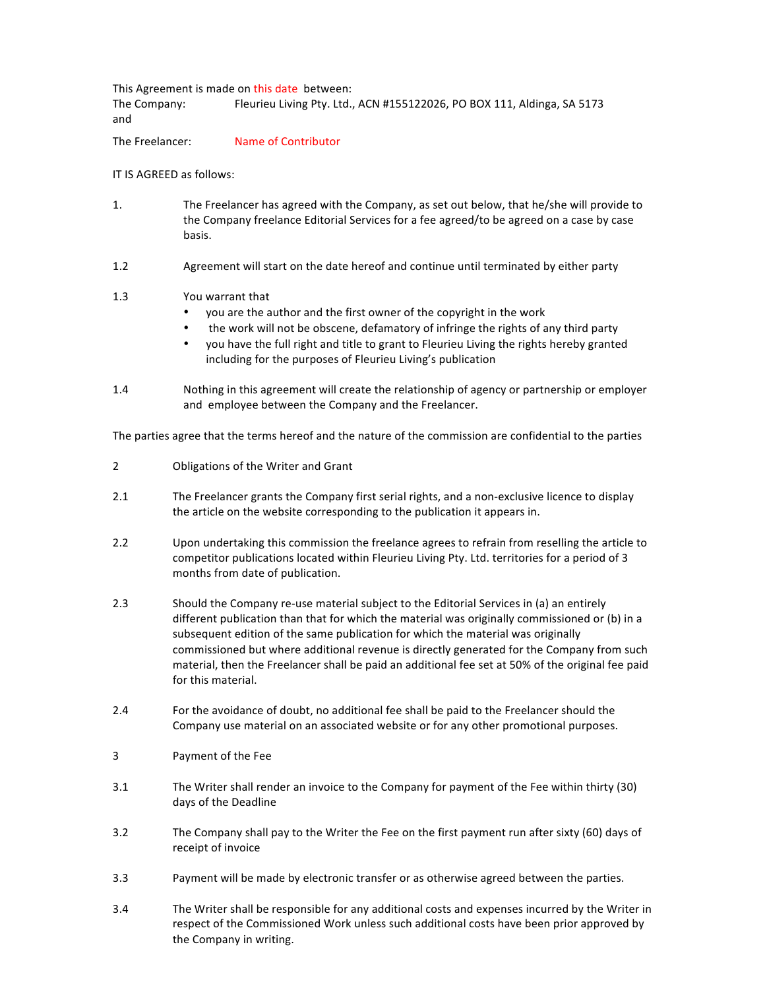This Agreement is made on this date between: The Company: Fleurieu Living Pty. Ltd., ACN #155122026, PO BOX 111, Aldinga, SA 5173 and

The Freelancer: Name of Contributor

IT IS AGREED as follows:

- 1. The Freelancer has agreed with the Company, as set out below, that he/she will provide to the Company freelance Editorial Services for a fee agreed/to be agreed on a case by case basis.
- 1.2 Agreement will start on the date hereof and continue until terminated by either party

## 1.3 You warrant that

- you are the author and the first owner of the copyright in the work
- the work will not be obscene, defamatory of infringe the rights of any third party
- you have the full right and title to grant to Fleurieu Living the rights hereby granted including for the purposes of Fleurieu Living's publication
- 1.4 Nothing in this agreement will create the relationship of agency or partnership or employer and employee between the Company and the Freelancer.

The parties agree that the terms hereof and the nature of the commission are confidential to the parties

- 2 Obligations of the Writer and Grant
- 2.1 The Freelancer grants the Company first serial rights, and a non-exclusive licence to display the article on the website corresponding to the publication it appears in.
- 2.2 Upon undertaking this commission the freelance agrees to refrain from reselling the article to competitor publications located within Fleurieu Living Pty. Ltd. territories for a period of 3 months from date of publication.
- 2.3 Should the Company re-use material subject to the Editorial Services in (a) an entirely different publication than that for which the material was originally commissioned or (b) in a subsequent edition of the same publication for which the material was originally commissioned but where additional revenue is directly generated for the Company from such material, then the Freelancer shall be paid an additional fee set at 50% of the original fee paid for this material.
- 2.4 For the avoidance of doubt, no additional fee shall be paid to the Freelancer should the Company use material on an associated website or for any other promotional purposes.
- 3 **Payment of the Fee**
- 3.1 The Writer shall render an invoice to the Company for payment of the Fee within thirty (30) days of the Deadline
- 3.2 The Company shall pay to the Writer the Fee on the first payment run after sixty (60) days of receipt of invoice
- 3.3 Payment will be made by electronic transfer or as otherwise agreed between the parties.
- 3.4 The Writer shall be responsible for any additional costs and expenses incurred by the Writer in respect of the Commissioned Work unless such additional costs have been prior approved by the Company in writing.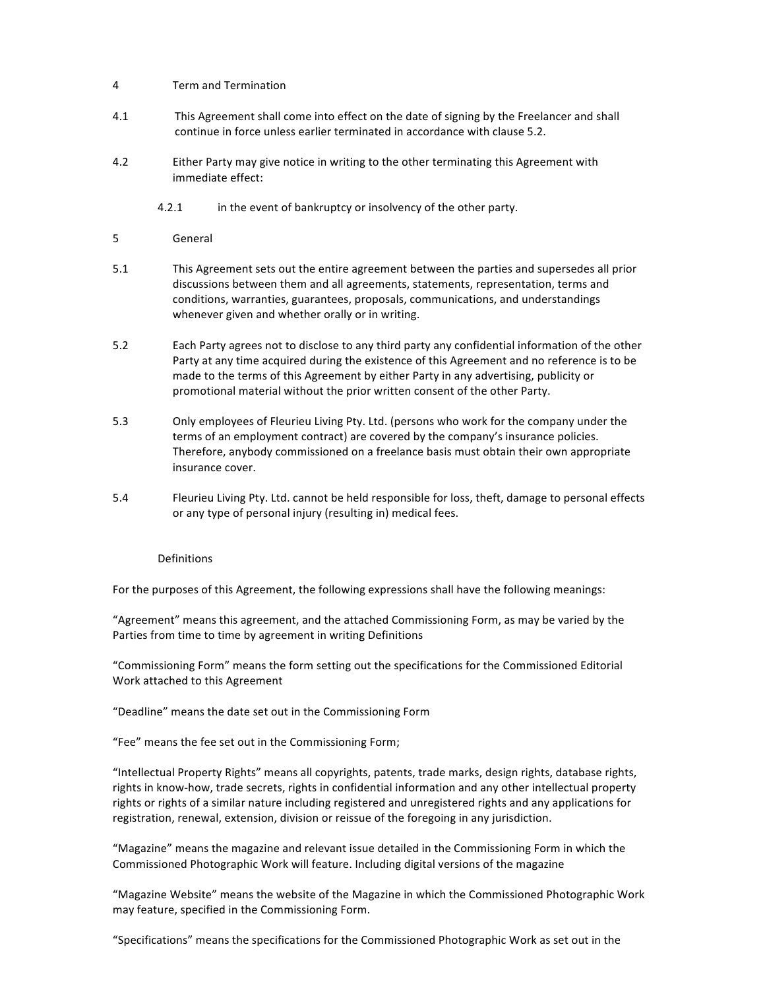## 4 Term and Termination

- 4.1 This Agreement shall come into effect on the date of signing by the Freelancer and shall continue in force unless earlier terminated in accordance with clause 5.2.
- 4.2 **Either Party may give notice in writing to the other terminating this Agreement with** immediate effect:
	- 4.2.1 in the event of bankruptcy or insolvency of the other party.
- 5 General
- 5.1 This Agreement sets out the entire agreement between the parties and supersedes all prior discussions between them and all agreements, statements, representation, terms and conditions, warranties, guarantees, proposals, communications, and understandings whenever given and whether orally or in writing.
- 5.2 Each Party agrees not to disclose to any third party any confidential information of the other Party at any time acquired during the existence of this Agreement and no reference is to be made to the terms of this Agreement by either Party in any advertising, publicity or promotional material without the prior written consent of the other Party.
- 5.3 Only employees of Fleurieu Living Pty. Ltd. (persons who work for the company under the terms of an employment contract) are covered by the company's insurance policies. Therefore, anybody commissioned on a freelance basis must obtain their own appropriate insurance cover.
- 5.4 Fleurieu Living Pty. Ltd. cannot be held responsible for loss, theft, damage to personal effects or any type of personal injury (resulting in) medical fees.

## Definitions

For the purposes of this Agreement, the following expressions shall have the following meanings:

"Agreement" means this agreement, and the attached Commissioning Form, as may be varied by the Parties from time to time by agreement in writing Definitions

"Commissioning Form" means the form setting out the specifications for the Commissioned Editorial Work attached to this Agreement

"Deadline" means the date set out in the Commissioning Form

"Fee" means the fee set out in the Commissioning Form;

"Intellectual Property Rights" means all copyrights, patents, trade marks, design rights, database rights, rights in know-how, trade secrets, rights in confidential information and any other intellectual property rights or rights of a similar nature including registered and unregistered rights and any applications for registration, renewal, extension, division or reissue of the foregoing in any jurisdiction.

"Magazine" means the magazine and relevant issue detailed in the Commissioning Form in which the Commissioned Photographic Work will feature. Including digital versions of the magazine

"Magazine Website" means the website of the Magazine in which the Commissioned Photographic Work may feature, specified in the Commissioning Form.

"Specifications" means the specifications for the Commissioned Photographic Work as set out in the